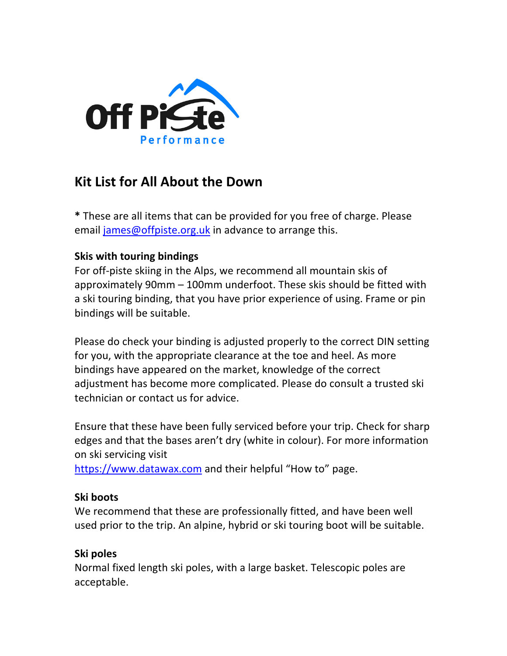

# **Kit List for All About the Down**

**\*** These are all items that can be provided for you free of charge. Please email james@offpiste.org.uk in advance to arrange this.

# **Skis with touring bindings**

For off-piste skiing in the Alps, we recommend all mountain skis of approximately 90mm – 100mm underfoot. These skis should be fitted with a ski touring binding, that you have prior experience of using. Frame or pin bindings will be suitable.

Please do check your binding is adjusted properly to the correct DIN setting for you, with the appropriate clearance at the toe and heel. As more bindings have appeared on the market, knowledge of the correct adjustment has become more complicated. Please do consult a trusted ski technician or contact us for advice.

Ensure that these have been fully serviced before your trip. Check for sharp edges and that the bases aren't dry (white in colour). For more information on ski servicing visit

https://www.datawax.com and their helpful "How to" page.

#### **Ski boots**

We recommend that these are professionally fitted, and have been well used prior to the trip. An alpine, hybrid or ski touring boot will be suitable.

#### **Ski poles**

Normal fixed length ski poles, with a large basket. Telescopic poles are acceptable.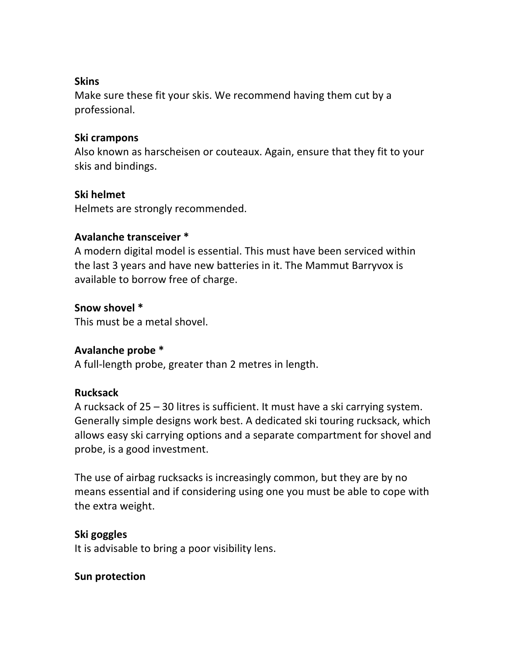### **Skins**

Make sure these fit your skis. We recommend having them cut by a professional.

### **Ski crampons**

Also known as harscheisen or couteaux. Again, ensure that they fit to your skis and bindings.

# **Ski helmet**

Helmets are strongly recommended.

# **Avalanche transceiver \***

A modern digital model is essential. This must have been serviced within the last 3 years and have new batteries in it. The Mammut Barryvox is available to borrow free of charge.

# **Snow shovel \***

This must be a metal shovel.

# **Avalanche probe \***

A full-length probe, greater than 2 metres in length.

#### **Rucksack**

A rucksack of 25 – 30 litres is sufficient. It must have a ski carrying system. Generally simple designs work best. A dedicated ski touring rucksack, which allows easy ski carrying options and a separate compartment for shovel and probe, is a good investment.

The use of airbag rucksacks is increasingly common, but they are by no means essential and if considering using one you must be able to cope with the extra weight.

# **Ski goggles**

It is advisable to bring a poor visibility lens.

#### **Sun protection**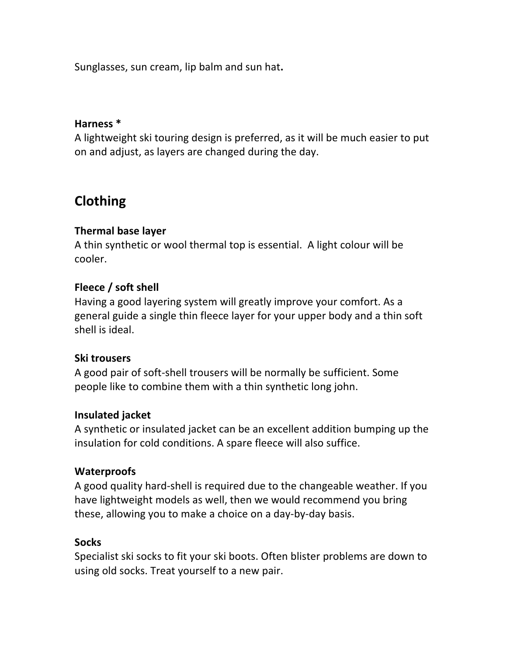Sunglasses, sun cream, lip balm and sun hat**.**

#### **Harness \***

A lightweight ski touring design is preferred, as it will be much easier to put on and adjust, as layers are changed during the day.

# **Clothing**

# **Thermal base layer**

A thin synthetic or wool thermal top is essential. A light colour will be cooler.

# **Fleece / soft shell**

Having a good layering system will greatly improve your comfort. As a general guide a single thin fleece layer for your upper body and a thin soft shell is ideal.

#### **Ski trousers**

A good pair of soft-shell trousers will be normally be sufficient. Some people like to combine them with a thin synthetic long john.

#### **Insulated jacket**

A synthetic or insulated jacket can be an excellent addition bumping up the insulation for cold conditions. A spare fleece will also suffice.

#### **Waterproofs**

A good quality hard-shell is required due to the changeable weather. If you have lightweight models as well, then we would recommend you bring these, allowing you to make a choice on a day-by-day basis.

# **Socks**

Specialist ski socks to fit your ski boots. Often blister problems are down to using old socks. Treat yourself to a new pair.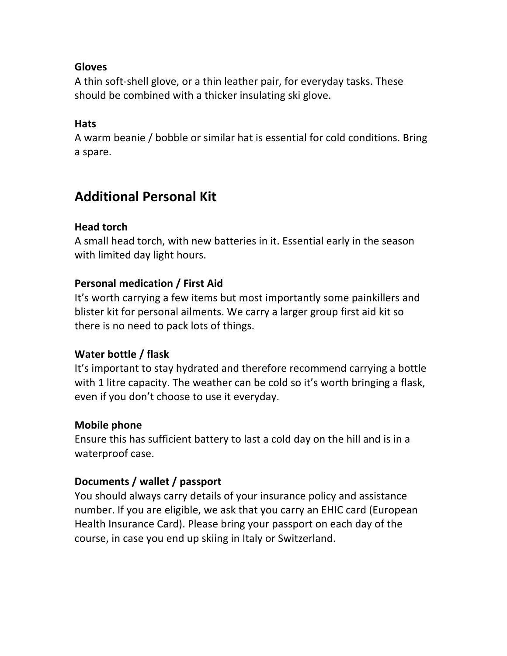### **Gloves**

A thin soft-shell glove, or a thin leather pair, for everyday tasks. These should be combined with a thicker insulating ski glove.

# **Hats**

A warm beanie / bobble or similar hat is essential for cold conditions. Bring a spare.

# **Additional Personal Kit**

# **Head torch**

A small head torch, with new batteries in it. Essential early in the season with limited day light hours.

# **Personal medication / First Aid**

It's worth carrying a few items but most importantly some painkillers and blister kit for personal ailments. We carry a larger group first aid kit so there is no need to pack lots of things.

#### **Water bottle / flask**

It's important to stay hydrated and therefore recommend carrying a bottle with 1 litre capacity. The weather can be cold so it's worth bringing a flask, even if you don't choose to use it everyday.

#### **Mobile phone**

Ensure this has sufficient battery to last a cold day on the hill and is in a waterproof case.

#### **Documents / wallet / passport**

You should always carry details of your insurance policy and assistance number. If you are eligible, we ask that you carry an EHIC card (European Health Insurance Card). Please bring your passport on each day of the course, in case you end up skiing in Italy or Switzerland.